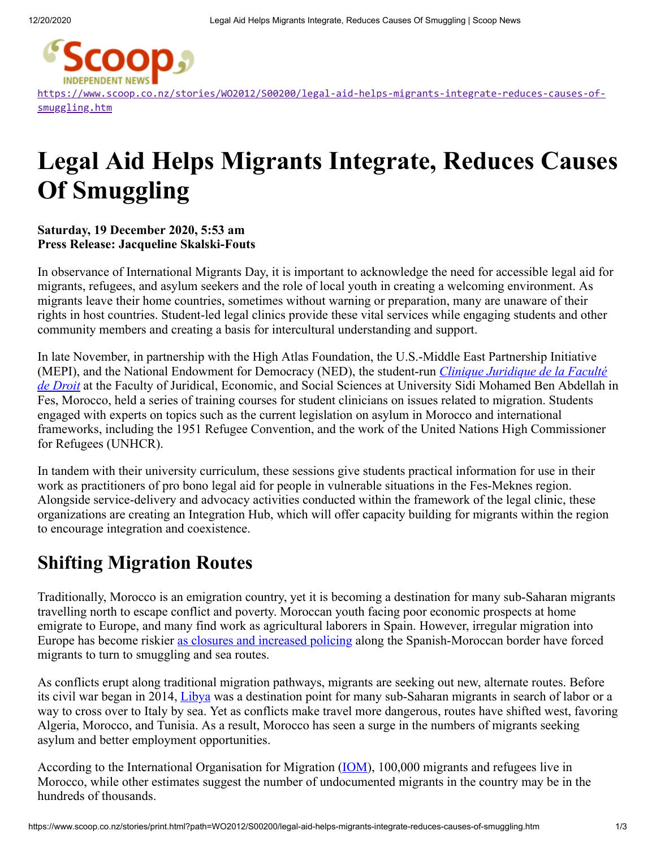

[https://www.scoop.co.nz/stories/WO2012/S00200/legal-aid-helps-migrants-integrate-reduces-causes-of](https://www.scoop.co.nz/stories/WO2012/S00200/legal-aid-helps-migrants-integrate-reduces-causes-of-smuggling.htm)smuggling.htm

# **Legal Aid Helps Migrants Integrate, Reduces Causes Of Smuggling**

#### **Saturday, 19 December 2020, 5:53 am Press Release: Jacqueline Skalski-Fouts**

In observance of International Migrants Day, it is important to acknowledge the need for accessible legal aid for migrants, refugees, and asylum seekers and the role of local youth in creating a welcoming environment. As migrants leave their home countries, sometimes without warning or preparation, many are unaware of their rights in host countries. Student-led legal clinics provide these vital services while engaging students and other community members and creating a basis for intercultural understanding and support.

In late November, in partnership with the High Atlas Foundation, the U.S.-Middle East Partnership Initiative (MEPI), and the National Endowment for Democracy (NED), the student-run *Clinique Juridique de la Faculté de Droit* [at the Faculty of Juridical, Economic, and Social Sciences at University Sidi Mohamed Ben Abdellah](https://highatlasfoundation.us1.list-manage.com/track/click?u=5bbd0e9d6ea090312e7b595b4&id=9a241fa938&e=d8792b9a61) in Fes, Morocco, held a series of training courses for student clinicians on issues related to migration. Students engaged with experts on topics such as the current legislation on asylum in Morocco and international frameworks, including the 1951 Refugee Convention, and the work of the United Nations High Commissioner for Refugees (UNHCR).

In tandem with their university curriculum, these sessions give students practical information for use in their work as practitioners of pro bono legal aid for people in vulnerable situations in the Fes-Meknes region. Alongside service-delivery and advocacy activities conducted within the framework of the legal clinic, these organizations are creating an Integration Hub, which will offer capacity building for migrants within the region to encourage integration and coexistence.

#### **Shifting Migration Routes**

Traditionally, Morocco is an emigration country, yet it is becoming a destination for many sub-Saharan migrants travelling north to escape conflict and poverty. Moroccan youth facing poor economic prospects at home emigrate to Europe, and many find work as agricultural laborers in Spain. However, irregular migration into Europe has become riskier [as closures and increased policing](https://highatlasfoundation.us1.list-manage.com/track/click?u=5bbd0e9d6ea090312e7b595b4&id=a314a99cba&e=d8792b9a61) along the Spanish-Moroccan border have forced migrants to turn to smuggling and sea routes.

As conflicts erupt along traditional migration pathways, migrants are seeking out new, alternate routes. Before its civil war began in 2014, [Libya](https://highatlasfoundation.us1.list-manage.com/track/click?u=5bbd0e9d6ea090312e7b595b4&id=dde3bf95a9&e=d8792b9a61) was a destination point for many sub-Saharan migrants in search of labor or a way to cross over to Italy by sea. Yet as conflicts make travel more dangerous, routes have shifted west, favoring Algeria, Morocco, and Tunisia. As a result, Morocco has seen a surge in the numbers of migrants seeking asylum and better employment opportunities.

According to the International Organisation for Migration ([IOM](https://highatlasfoundation.us1.list-manage.com/track/click?u=5bbd0e9d6ea090312e7b595b4&id=704535972b&e=d8792b9a61)), 100,000 migrants and refugees live in Morocco, while other estimates suggest the number of undocumented migrants in the country may be in the hundreds of thousands.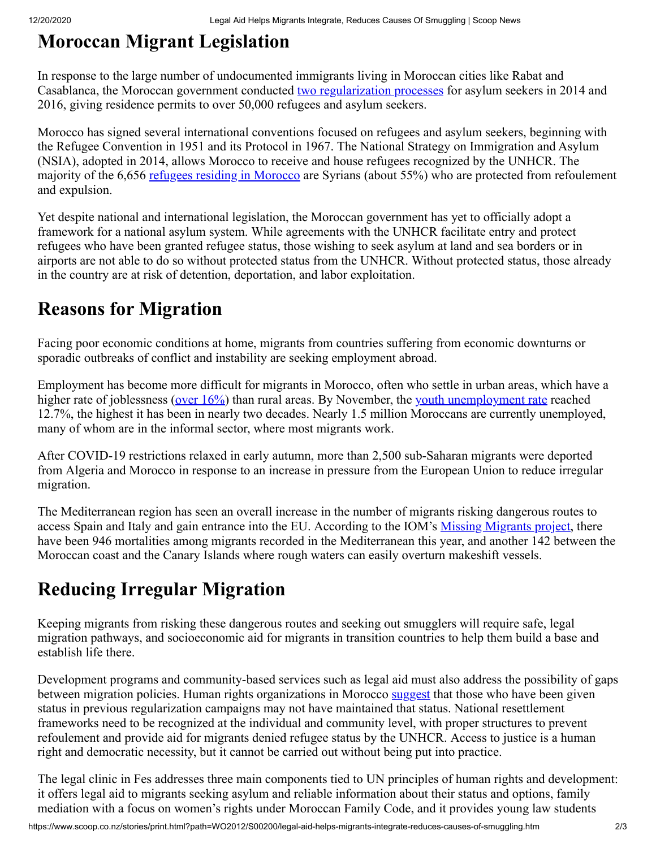## **Moroccan Migrant Legislation**

In response to the large number of undocumented immigrants living in Moroccan cities like Rabat and Casablanca, the Moroccan government conducted [two](https://highatlasfoundation.us1.list-manage.com/track/click?u=5bbd0e9d6ea090312e7b595b4&id=2853105771&e=d8792b9a61) [regularization processes](https://highatlasfoundation.us1.list-manage.com/track/click?u=5bbd0e9d6ea090312e7b595b4&id=c96ff088f9&e=d8792b9a61) for asylum seekers in 2014 and 2016, giving residence permits to over 50,000 refugees and asylum seekers.

Morocco has signed several international conventions focused on refugees and asylum seekers, beginning with the Refugee Convention in 1951 and its Protocol in 1967. The National Strategy on Immigration and Asylum (NSIA), adopted in 2014, allows Morocco to receive and house refugees recognized by the UNHCR. The majority of the 6,656 [refugees residing in Morocco](https://highatlasfoundation.us1.list-manage.com/track/click?u=5bbd0e9d6ea090312e7b595b4&id=d5e8ecd3f9&e=d8792b9a61) are Syrians (about 55%) who are protected from refoulement and expulsion.

Yet despite national and international legislation, the Moroccan government has yet to officially adopt a framework for a national asylum system. While agreements with the UNHCR facilitate entry and protect refugees who have been granted refugee status, those wishing to seek asylum at land and sea borders or in airports are not able to do so without protected status from the UNHCR. Without protected status, those already in the country are at risk of detention, deportation, and labor exploitation.

#### **Reasons for Migration**

Facing poor economic conditions at home, migrants from countries suffering from economic downturns or sporadic outbreaks of conflict and instability are seeking employment abroad.

Employment has become more difficult for migrants in Morocco, often who settle in urban areas, which have a higher rate of joblessness (over  $16\%$ ) than rural areas. By November, the [youth unemployment rate](https://highatlasfoundation.us1.list-manage.com/track/click?u=5bbd0e9d6ea090312e7b595b4&id=4a7ead42ce&e=d8792b9a61) reached 12.7%, the highest it has been in nearly two decades. Nearly 1.5 million Moroccans are currently unemployed, many of whom are in the informal sector, where most migrants work.

After COVID-19 restrictions relaxed in early autumn, more than 2,500 sub-Saharan migrants were deported from Algeria and Morocco in response to an increase in pressure from the European Union to reduce irregular migration.

The Mediterranean region has seen an overall increase in the number of migrants risking dangerous routes to access Spain and Italy and gain entrance into the EU. According to the IOM's <u>[Missing Migrants project](https://highatlasfoundation.us1.list-manage.com/track/click?u=5bbd0e9d6ea090312e7b595b4&id=931119ef01&e=d8792b9a61)</u>, there have been 946 mortalities among migrants recorded in the Mediterranean this year, and another 142 between the Moroccan coast and the Canary Islands where rough waters can easily overturn makeshift vessels.

### **Reducing Irregular Migration**

Keeping migrants from risking these dangerous routes and seeking out smugglers will require safe, legal migration pathways, and socioeconomic aid for migrants in transition countries to help them build a base and establish life there.

Development programs and community-based services such as legal aid must also address the possibility of gaps between migration policies. Human rights organizations in Morocco [suggest](https://highatlasfoundation.us1.list-manage.com/track/click?u=5bbd0e9d6ea090312e7b595b4&id=4e653c616c&e=d8792b9a61) that those who have been given status in previous regularization campaigns may not have maintained that status. National resettlement frameworks need to be recognized at the individual and community level, with proper structures to prevent refoulement and provide aid for migrants denied refugee status by the UNHCR. Access to justice is a human right and democratic necessity, but it cannot be carried out without being put into practice.

The legal clinic in Fes addresses three main components tied to UN principles of human rights and development: it offers legal aid to migrants seeking asylum and reliable information about their status and options, family mediation with a focus on women's rights under Moroccan Family Code, and it provides young law students